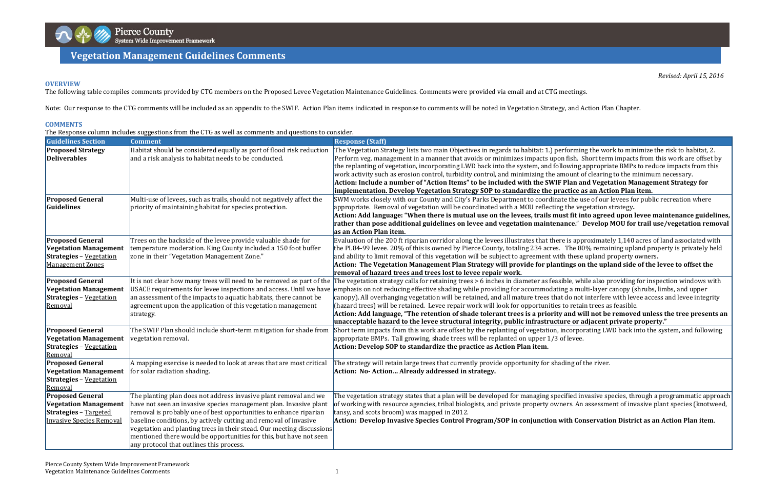

## **Management Guidelines Comments Vegetation Management Guidelines Comments**

*Revised: April 15, 2016*

 $\alpha$  forming the work to minimize the risk to habitat, 2. I fish. Short term impacts from this work are offset by owing appropriate BMPs to reduce impacts from this nount of clearing to the minimum necessary.

## **OVERVIEW**

The following table compiles comments provided by CTG members on the Proposed Levee Vegetation Maintenance Guidelines. Comments were provided via email and at CTG meetings.

Note: Our response to the CTG comments will be included as an appendix to the SWIF. Action Plan items indicated in response to comments will be noted in Vegetation Strategy, and Action Plan Chapter.

## **COMMENTS**

|  |  |  | The Response column includes suggestions from the CTG as well as comments and questions to consider. |
|--|--|--|------------------------------------------------------------------------------------------------------|
|  |  |  |                                                                                                      |

st fit into agreed upon levee maintenance guidelines, **pose additional guidelines on levee and vegetation maintenance.**" **Develop MOU for trail use/vegetation removal**

 $\cdot$  is approximately 1,140 acres of land associated with The 80% remaining upland property is privately held I these upland property owners.

ings on the upland side of the levee to offset the

ble, while also providing for inspection windows with  $\log a$  multi-layer canopy (shrubs, limbs, and upper do not interfere with levee access and levee integrity to retain trees as feasible.

 **Items" to be included with the SWIF Plan and Vegetation Management Strategy for implementation. Develop Vegetation Strategy SOP to standardize the practice as an Action Plan item.**

e the use of our levees for public recreation where the vegetation strategy.

and will not be removed unless the tree presents an **unacceptable hazard to the levee structural integrity, public infrastructure or adjacent private property."**

ncorporating LWD back into the system, and following

ding of the river.

 $\tilde{f}$ ified invasive species, through a programmatic approach ers. An assessment of invasive plant species (knotweed,

| <b>Guidelines Section</b>                                                                                                  | <b>Comment</b>                                                                                                                                                                                                                                                                                                                                                                                                                                                            | <b>Response (Staff)</b>                                                                                                                                                                                                                                                                                                                                                                                                                                                                                                                                    |
|----------------------------------------------------------------------------------------------------------------------------|---------------------------------------------------------------------------------------------------------------------------------------------------------------------------------------------------------------------------------------------------------------------------------------------------------------------------------------------------------------------------------------------------------------------------------------------------------------------------|------------------------------------------------------------------------------------------------------------------------------------------------------------------------------------------------------------------------------------------------------------------------------------------------------------------------------------------------------------------------------------------------------------------------------------------------------------------------------------------------------------------------------------------------------------|
| <b>Proposed Strategy</b><br><b>Deliverables</b>                                                                            | Habitat should be considered equally as part of flood risk reduction<br>and a risk analysis to habitat needs to be conducted.                                                                                                                                                                                                                                                                                                                                             | The Vegetation Strategy lists two main Objectives in regards to habitat: 1.) performing<br>Perform veg. management in a manner that avoids or minimizes impacts upon fish. Sho<br>the replanting of vegetation, incorporating LWD back into the system, and following ap<br>work activity such as erosion control, turbidity control, and minimizing the amount of o<br>Action: Include a number of "Action Items" to be included with the SWIF Plan and<br>implementation. Develop Vegetation Strategy SOP to standardize the practice as                 |
| <b>Proposed General</b>                                                                                                    | Multi-use of levees, such as trails, should not negatively affect the                                                                                                                                                                                                                                                                                                                                                                                                     | SWM works closely with our County and City's Parks Department to coordinate the use                                                                                                                                                                                                                                                                                                                                                                                                                                                                        |
| Guidelines                                                                                                                 | priority of maintaining habitat for species protection.                                                                                                                                                                                                                                                                                                                                                                                                                   | appropriate. Removal of vegetation will be coordinated with a MOU reflecting the vege<br>Action: Add language: "When there is mutual use on the levees, trails must fit into<br>rather than pose additional guidelines on levee and vegetation maintenance." De<br>as an Action Plan item.                                                                                                                                                                                                                                                                 |
| <b>Proposed General</b><br><b>Vegetation Management</b><br><b>Strategies</b> - Vegetation<br><b>Management Zones</b>       | Trees on the backside of the levee provide valuable shade for<br>temperature moderation. King County included a 150 foot buffer<br>zone in their "Vegetation Management Zone."                                                                                                                                                                                                                                                                                            | Evaluation of the 200 ft riparian corridor along the levees illustrates that there is appro<br>the PL84-99 levee. 20% of this is owned by Pierce County, totaling 234 acres. The 80%<br>and ability to limit removal of this vegetation will be subject to agreement with these up<br>Action: The Vegetation Management Plan Strategy will provide for plantings on t<br>removal of hazard trees and trees lost to levee repair work.                                                                                                                      |
| <b>Proposed General</b><br><b>Vegetation Management</b><br><b>Strategies</b> - Vegetation<br>Removal                       | It is not clear how many trees will need to be removed as part of the<br>USACE requirements for levee inspections and access. Until we have<br>an assessment of the impacts to aquatic habitats, there cannot be<br>agreement upon the application of this vegetation management<br>strategy.                                                                                                                                                                             | The vegetation strategy calls for retaining trees > 6 inches in diameter as feasible, while<br>emphasis on not reducing effective shading while providing for accommodating a multi<br>canopy). All overhanging vegetation will be retained, and all mature trees that do not in<br>(hazard trees) will be retained. Levee repair work will look for opportunities to retain<br>Action: Add language, "The retention of shade tolerant trees is a priority and will<br>unacceptable hazard to the levee structural integrity, public infrastructure or adj |
| <b>Proposed General</b><br><b>Vegetation Management</b><br><b>Strategies</b> - Vegetation<br>Removal                       | The SWIF Plan should include short-term mitigation for shade from<br>vegetation removal.                                                                                                                                                                                                                                                                                                                                                                                  | Short term impacts from this work are offset by the replanting of vegetation, incorpora<br>appropriate BMPs. Tall growing, shade trees will be replanted on upper 1/3 of levee.<br>Action: Develop SOP to standardize the practice as Action Plan item.                                                                                                                                                                                                                                                                                                    |
| <b>Proposed General</b><br><b>Vegetation Management</b><br><b>Strategies</b> - Vegetation<br>Removal                       | A mapping exercise is needed to look at areas that are most critical<br>for solar radiation shading.                                                                                                                                                                                                                                                                                                                                                                      | The strategy will retain large trees that currently provide opportunity for shading of th<br>Action: No-Action Already addressed in strategy.                                                                                                                                                                                                                                                                                                                                                                                                              |
| <b>Proposed General</b><br><b>Vegetation Management</b><br><b>Strategies</b> - Targeted<br><b>Invasive Species Removal</b> | The planting plan does not address invasive plant removal and we<br>have not seen an invasive species management plan. Invasive plant<br>removal is probably one of best opportunities to enhance riparian<br>baseline conditions, by actively cutting and removal of invasive<br>vegetation and planting trees in their stead. Our meeting discussions<br>mentioned there would be opportunities for this, but have not seen<br>any protocol that outlines this process. | The vegetation strategy states that a plan will be developed for managing specified inva<br>of working with resource agencies, tribal biologists, and private property owners. An as<br>tansy, and scots broom) was mapped in 2012.<br>Action: Develop Invasive Species Control Program/SOP in conjunction with Cons                                                                                                                                                                                                                                       |

**Develop Invasive Species Control Program/SOP in conjunction with Conservation District as an Action Plan item**.